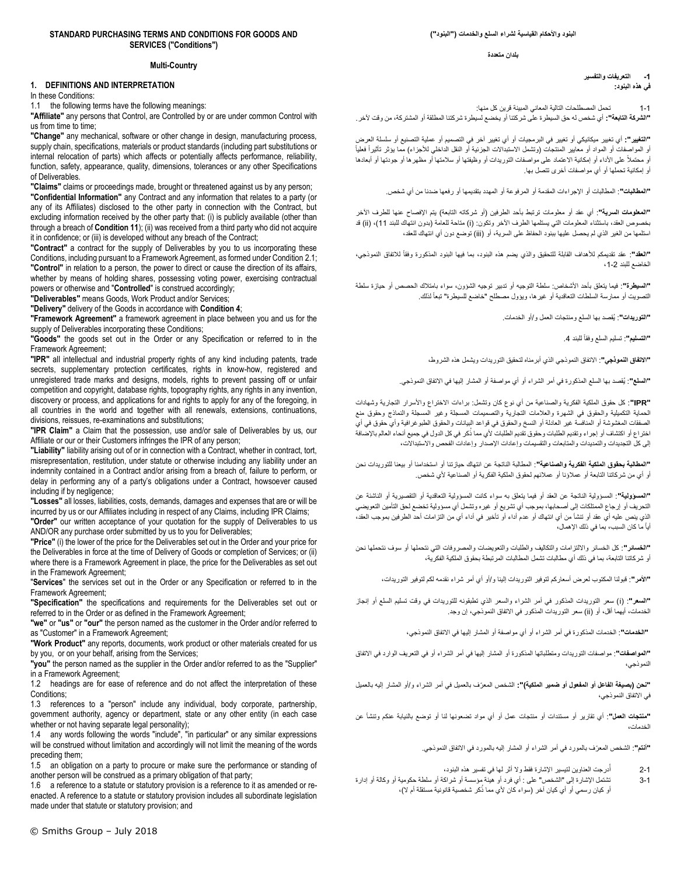#### **STANDARD PURCHASING TERMS AND CONDITIONS FOR GOODS AND SERVICES ("Conditions")**

#### **Multi-Country**

## **1. DEFINITIONS AND INTERPRETATION**

In these Conditions:

1.1 the following terms have the following meanings:

**"Affiliate"** any persons that Control, are Controlled by or are under common Control with us from time to time:

**"Change"** any mechanical, software or other change in design, manufacturing process, supply chain, specifications, materials or product standards (including part substitutions or internal relocation of parts) which affects or potentially affects performance, reliability, function, safety, appearance, quality, dimensions, tolerances or any other Specifications of Deliverables.

**"Claims"** claims or proceedings made, brought or threatened against us by any person; **"Confidential Information"** any Contract and any information that relates to a party (or any of its Affiliates) disclosed to the other party in connection with the Contract, but excluding information received by the other party that: (i) is publicly available (other than through a breach of **Conditio[n 11](#page-4-0)**); (ii) was received from a third party who did not acquire it in confidence; or (iii) is developed without any breach of the Contract;

**"Contract"** a contract for the supply of Deliverables by you to us incorporating these Conditions, including pursuant to a Framework Agreement, as formed under Conditio[n 2.1;](#page-1-0)  **"Control"** in relation to a person, the power to direct or cause the direction of its affairs, whether by means of holding shares, possessing voting power, exercising contractual powers or otherwise and "**Controlled**" is construed accordingly;

**"Deliverables"** means Goods, Work Product and/or Services;

**"Delivery"** delivery of the Goods in accordance with **Conditio[n 4](#page-1-1)**;

**"Framework Agreement"** a framework agreement in place between you and us for the supply of Deliverables incorporating these Conditions;

**"Goods"** the goods set out in the Order or any Specification or referred to in the Framework Agreement;

**"IPR"** all intellectual and industrial property rights of any kind including patents, trade secrets, supplementary protection certificates, rights in know-how, registered and unregistered trade marks and designs, models, rights to prevent passing off or unfair competition and copyright, database rights, topography rights, any rights in any invention, discovery or process, and applications for and rights to apply for any of the foregoing, in all countries in the world and together with all renewals, extensions, continuations, divisions, reissues, re-examinations and substitutions;

**"IPR Claim"** a Claim that the possession, use and/or sale of Deliverables by us, our Affiliate or our or their Customers infringes the IPR of any person;

**"Liability"** liability arising out of or in connection with a Contract, whether in contract, tort, misrepresentation, restitution, under statute or otherwise including any liability under an indemnity contained in a Contract and/or arising from a breach of, failure to perform, or delay in performing any of a party's obligations under a Contract, howsoever caused including if by negligence;

**"Losses"** all losses, liabilities, costs, demands, damages and expenses that are or will be incurred by us or our Affiliates including in respect of any Claims, including IPR Claims; **"Order"** our written acceptance of your quotation for the supply of Deliverables to us

AND/OR any purchase order submitted by us to you for Deliverables;

**"Price"** (i) the lower of the price for the Deliverables set out in the Order and your price for the Deliverables in force at the time of Delivery of Goods or completion of Services; or (ii) where there is a Framework Agreement in place, the price for the Deliverables as set out in the Framework Agreement;

"**Services**" the services set out in the Order or any Specification or referred to in the Framework Agreement;

**"Specification"** the specifications and requirements for the Deliverables set out or referred to in the Order or as defined in the Framework Agreement;

**"we"** or **"us"** or **"our"** the person named as the customer in the Order and/or referred to as "Customer" in a Framework Agreement;

**"Work Product"** any reports, documents, work product or other materials created for us by you, or on your behalf, arising from the Services;

**"you"** the person named as the supplier in the Order and/or referred to as the "Supplier" in a Framework Agreement;

1.2 headings are for ease of reference and do not affect the interpretation of these Conditions;

1.3 references to a "person" include any individual, body corporate, partnership, government authority, agency or department, state or any other entity (in each case whether or not having separate legal personality);

1.4 any words following the words "include", "in particular" or any similar expressions will be construed without limitation and accordingly will not limit the meaning of the words preceding them;

1.5 an obligation on a party to procure or make sure the performance or standing of another person will be construed as a primary obligation of that party;

1.6 a reference to a statute or statutory provision is a reference to it as amended or reenacted. A reference to a statute or statutory provision includes all subordinate legislation made under that statute or statutory provision; and

**البنود واألحكام القياسية لشراء السلع والخدمات )"البنود"(**

**بلدان متعددة** 

**-1 التعريفات والتفسير في هذه البنود:** 

1-1 تحمل المصطلحات التالية المعاني المبينة قرين كل منها: **"الشركة التابعة":** أي شخص له حق السيطرة على شركتنا أو يخضع لسيطرة شركتنا المطلقة أو المشتركة، من وقت آلخر.

**"التغيير":** أي تغيير ميكانيكي أو تغيير في البرمجيات أو أي تغيير آخر في التصميم أو عملية التصنيع أو سلسلة العرض أو المواصفات أو المواد أو معايير المنتجات (وتشمل الاستبدالات الجزئية أو النقل الداخلي للأجزاء) مما يؤثر تأثيراً فعلياً أو محتملاً على الأداء أو إمكانية الاعتماد على مواصفات التوريدات أو وظيفتها أو سلامتها أو مظهرها أو جودتها أو أبعادها أو إمكانية تحملها أو أي مواصفات أخرى تتصل بها.

**"المطالبات"**: المطالبات أو اإلجراءات المقدمة أو المرفوعة أو المهدد بتقديمها أو رفعها ضدنا من أي شخص.

**"المعلومات السرية"**: أي عقد أو معلومات ترتبط بأحد الطرفين )أو شركاته التابعة( يتم اإلفصاح عنها للطرف اآلخر بخصوص العقد، باستثناء المعلومات التي يستلمها الطرف الآخر وتكون: (i) متاحة للعامة (بدون انتهاك للبند 11)، (ii) قد استلمها من الغير الذي لم يحصل عليها ببنود الحفاظ على السرية، أو )iii )توضع دون أي انتهاك للعقد،

**"العقد"**: عقد تقديمكم للأهداف القابلة للتحقيق والذي يضم هذه البنود، بما فيها البنود المذكورة وفقاً للاتفاق النموذجى، الخاضع للبند 2-1،

**"السيطرة"**: فيما يتعلق بأحد األشخاص: سلطة التوجيه أو تدبير توجيه الشؤون، سواء بامتالك الحصص أو حيازة سلطة التصويت أو ممارسة السلطات التعاقدية أو غيرها، ويؤول مصطلح "خاضع للسيطرة" تبعاً لذلك.

**"التوريدات"**: يُقصد بها السلع ومنتجات العمل و/أو الخدمات.

**"التسليم"**: تسليم السلع وفقاً للبند 4.

**"االتفاق النموذجي"**: االتفاق النموذجي الذي أبرمناه لتحقيق التوريدات ويشمل هذه الشروط،

**"السلع"**: يُقصد بها السلع المذكورة في أمر الشراء أو أي مواصفة أو المشار إليها في االتفاق النموذجي.

**"IPR"**: كل حقوق الملكية الفكرية والصناعية من أي نوع كان وتشمل: براءات االختراع واألسرار التجارية وشهادات الحماية التكميلية والحقوق في الشهرة والعالمات التجارية والتصميمات المسجلة وغير المسجلة والنماذج وحقوق منع الصفقات المغشوشة أو المنافسة غير العادلة أو النسخ والحقوق في قواعد البيانات والحقوق الطبوغرافية وأي حقوق في أي ك اختراع أو اكتشاف أو إجراء وتقديم الطلبات وحقوق تقديم الطلبات ألي مما ذ ر في كل الدول في جميع أنحاء العالم باإلضافة ُ إلى كل التجديدات والتمديدات والمتابعات والتقسيمات وإعادات اإلصدار وإعادات الفحص واالستبداالت،

**"المطالبة بحقوق الملكية الفكرية والصناعية"**: المطالبة الناتجة عن انتهاك حيازتنا أو استخدامنا أو بيعنا للتوريدات نحن أو أي من شركاتنا التابعة أو عمالؤنا أو عمالئهم لحقوق الملكية الفكرية أو الصناعية ألي شخص.

**"المسؤولية"**: المسؤولية الناتجة عن العقد أو فيما يتعلق به سواء كانت المسؤولية التعاقدية أو التقصيرية أو الناشئة عن التحريف أو إرجاع الممتلكات إلى أصحابها، بموجب أي تشريع أو غيره وتشمل أي مسؤولية تخضع لحق التأمين التعويضي الذي ينص عليه أي عقد أو تنشأ من أي انتهاك أو عدم أداء أو تأخير في أداء أي من التزامات أحد الطرفين بموجب العقد، أياً ما كان السبب، بما في ذلك اإلهمال،

**"الخسائر"**: كل الخسائر وااللتزامات والتكاليف والطلبات والتعويضات والمصروفات التي نتحملها أو سوف نتحملها نحن أو شركاتنا التابعة، بما في ذلك أي مطالبات تشمل المطالبات المرتبطة بحقوق الملكية الفكرية،

**"األمر"**: قبولنا المكتوب لعرض أسعاركم لتوفير التوريدات إلينا و/أو أي أمر شراء نقدمه لكم لتوفير التوريدات،

**"السعر"**: )i )سعر التوريدات المذكور في أمر الشراء والسعر الذي تطبقونه للتوريدات في وقت تسليم السلع أو إنجاز الخدمات، أيهما أقل، أو (ii) سعر التوريدات المذكور في الاتفاق النموذجي، إن وجد.

**"الخدمات"**: الخدمات المذكورة في أمر الشراء أو أي مواصفة أو المشار إليها في االتفاق النموذجي،

**"المواصفات"**: مواصفات التوريدات ومتطلباتها المذكورة أو المشار إليها في أمر الشراء أو في التعريف الوارد في االتفاق النموذجي،

**"نحن )بصيغة الفاعل أو المفعول أو ضمير الملكية(":** الشخص المع ّرف بالعميل في أمر الشراء و/أو المشار إليه بالعميل في االتفاق النموذجي،

**"منتجات العمل"**: أي تقارير أو مستندات أو منتجات عمل أو أي مواد تضعونها لنا أو توضع بالنيابة عنكم وتنشأ عن الخدمات،

**"أنتم"**: الشخص المع ّرف بالمورد في أمر الشراء أو المشار إليه بالمورد في االتفاق النموذجي.

- 2-1 درجت العناوين لتيسير اإلشارة فقط وال أثر لها في تفسير هذه البنود، أ
- 3-1 تشتمل اإلشارة إلى "الشخص" على : أي فرد أو هيئة مؤسسة أو شراكة أو سلطة حكومية أو وكالة أو إدارة أو كيان رسمي أو أي كيان آخر (سواء كان لأي مما ذُكر شخصية قانونية مستقلة أم لا)،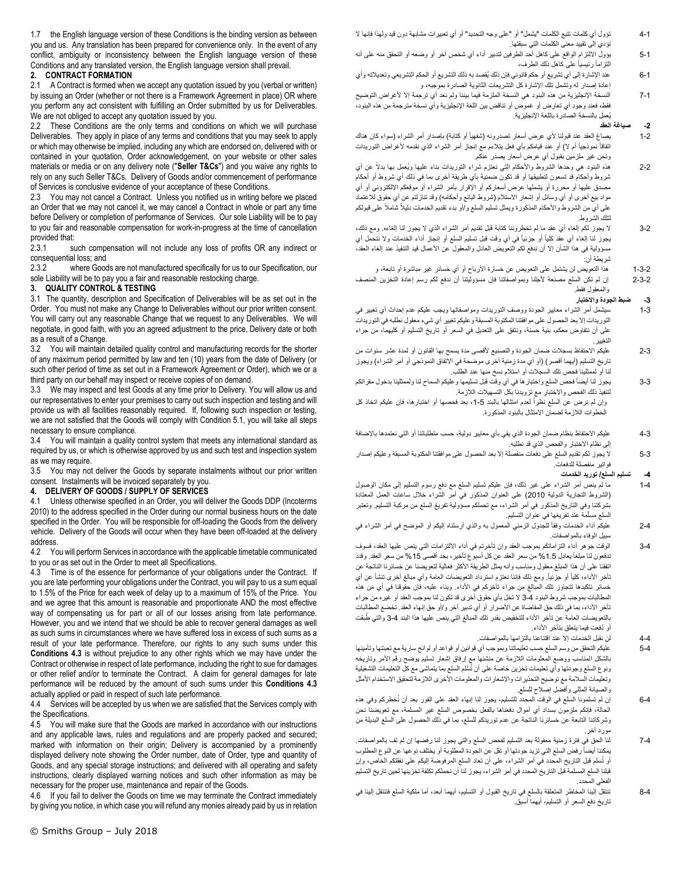1.7 the English language version of these Conditions is the binding version as between you and us. Any translation has been prepared for convenience only. In the event of any conflict, ambiguity or inconsistency between the English language version of these Conditions and any translated version, the English language version shall prevail.

## **2. CONTRACT FORMATION**

<span id="page-1-0"></span>2.1 A Contract is formed when we accept any quotation issued by you (verbal or written) by issuing an Order (whether or not there is a Framework Agreement in place) OR where you perform any act consistent with fulfilling an Order submitted by us for Deliverables. We are not obliged to accept any quotation issued by you.

2.2 These Conditions are the only terms and conditions on which we will purchase Deliverables. They apply in place of any terms and conditions that you may seek to apply or which may otherwise be implied, including any which are endorsed on, delivered with or contained in your quotation, Order acknowledgement, on your website or other sales materials or media or on any delivery note ("**Seller T&Cs**") and you waive any rights to rely on any such Seller T&Cs. Delivery of Goods and/or commencement of performance of Services is conclusive evidence of your acceptance of these Conditions.

2.3 You may not cancel a Contract. Unless you notified us in writing before we placed an Order that we may not cancel it, we may cancel a Contract in whole or part any time before Delivery or completion of performance of Services. Our sole Liability will be to pay to you fair and reasonable compensation for work-in-progress at the time of cancellation provided that:

2.3.1 such compensation will not include any loss of profits OR any indirect or consequential loss; and<br>2.3.2 where Good

where Goods are not manufactured specifically for us to our Specification, our sole Liability will be to pay you a fair and reasonable restocking charge.

#### **3. QUALITY CONTROL & TESTING**

3.1 The quantity, description and Specification of Deliverables will be as set out in the Order. You must not make any Change to Deliverables without our prior written consent. You will carry out any reasonable Change that we request to any Deliverables. We will negotiate, in good faith, with you an agreed adjustment to the price, Delivery date or both as a result of a Change.

3.2 You will maintain detailed quality control and manufacturing records for the shorter of any maximum period permitted by law and ten (10) years from the date of Delivery (or such other period of time as set out in a Framework Agreement or Order), which we or a third party on our behalf may inspect or receive copies of on demand.

3.3 We may inspect and test Goods at any time prior to Delivery. You will allow us and our representatives to enter your premises to carry out such inspection and testing and will provide us with all facilities reasonably required. If, following such inspection or testing, we are not satisfied that the Goods will comply with Condition [5.1,](#page-2-0) you will take all steps necessary to ensure compliance.

3.4 You will maintain a quality control system that meets any international standard as required by us, or which is otherwise approved by us and such test and inspection system as we may require.

3.5 You may not deliver the Goods by separate instalments without our prior written consent. Instalments will be invoiced separately by you.

#### <span id="page-1-1"></span>**4. DELIVERY OF GOODS / SUPPLY OF SERVICES**

4.1 Unless otherwise specified in an Order, you will deliver the Goods DDP (Incoterms 2010) to the address specified in the Order during our normal business hours on the date specified in the Order. You will be responsible for off-loading the Goods from the delivery vehicle. Delivery of the Goods will occur when they have been off-loaded at the delivery address.

4.2 You will perform Services in accordance with the applicable timetable communicated to you or as set out in the Order to meet all Specifications.

<span id="page-1-2"></span>4.3 Time is of the essence for performance of your obligations under the Contract. If you are late performing your obligations under the Contract, you will pay to us a sum equal to 1.5% of the Price for each week of delay up to a maximum of 15% of the Price. You and we agree that this amount is reasonable and proportionate AND the most effective way of compensating us for part or all of our losses arising from late performance. However, you and we intend that we should be able to recover general damages as well as such sums in circumstances where we have suffered loss in excess of such sums as a result of your late performance. Therefore, our rights to any such sums under this **Conditions [4.3](#page-1-2)** is without prejudice to any other rights which we may have under the Contract or otherwise in respect of late performance, including the right to sue for damages or other relief and/or to terminate the Contract. A claim for general damages for late performance will be reduced by the amount of such sums under this **Conditions [4.3](#page-1-2)** actually applied or paid in respect of such late performance.

4.4 Services will be accepted by us when we are satisfied that the Services comply with the Specifications.

4.5 You will make sure that the Goods are marked in accordance with our instructions and any applicable laws, rules and regulations and are properly packed and secured; marked with information on their origin; Delivery is accompanied by a prominently displayed delivery note showing the Order number, date of Order, type and quantity of Goods, and any special storage instructions; and delivered with all operating and safety instructions, clearly displayed warning notices and such other information as may be necessary for the proper use, maintenance and repair of the Goods.

4.6 If you fail to deliver the Goods on time we may terminate the Contract immediately by giving you notice, in which case you will refund any monies already paid by us in relation

- 4-1 تؤول أي كلمات تتبع الكلمات "يشمل" أو "على وجه التحديد" أو أي تعبيرات مشابهة دون قيد ولهذا فإنها ال تؤدي إلى تقييد معنى الكلمات التي سبقتها.
- 5-1 يؤول االلتزام الواقع على كاهل أحد الطرفين لتدبير أداء أي شخص آخر أو وضعه أو التحقق منه على أنه التزاماً رئيسياً على كاهل ذلك الطرف،
- 6-1 عند اإلشارة إلى أي تشريع أو حكم قانوني فإن ذلك يُقصد به ذلك التشريع أو الحكم التشريعي وتعديالته وأي إعادة إصدار له وتشمل تلك اإلشارة كل التشريعات الثانوية الصادرة بموجبه، و
- 7-1 النسخة اإلنجليزية من هذه البنود هي النسخة الملزمة فيما بيننا ولم نعد أي ترجمة إال ألغراض التوضيح فقط، فعند وجود أي تعارض أو غموض أو تناقض بين اللغة اإلنجليزية وأي نسخة مترجمة من هذه البنود، يُعمل بالنسخة الصادرة باللغة اإلنجليزية.

#### **-2 صياغة العقد**

- 2-1 يصاغ العقد عند قبولنا لأي عرض أسعار تصدرونه (شفهياً أو كذلبة) بإصدار أمر الشراء (سواء كان هناك اتفاقاً نموذجياً أم لا) أو عند قيامكم بأي فعل يتلاءم مع إنجاز أمر الشراء الذي نقدمه لأغراض التوريدات ونحن غير ملزمين بقبول أي عرض أسعار يصدر عنكم.
- 2-2 هذه البنود هي وحدها الشروط واألحكام التي نعتزم شراء التوريدات بناء عليها وُيعمل بها بدالً عن أي شروط وأحكام قد تسعون لتطبيقها أو قد تكون ضمنية بأي طريقة أخرى بما في ذلك أي شروط أو أحكام مصدق عليها أو محررة أو يشملها عرض أسعاركم أو اإلقرار بأمر الشراء أو موقعكم اإللكتروني أو أي مواد بيع أخرى أو أي وسائل أو إشعار الاستلام (شروط البائع وأحكامه) وقد تنازلتم عن أي حقوق للاعتماد على أي من الشروط والأحكام المذكورة ويمثّل تسليم السلع و/أو بدء تقديم الخدمات دليلاً شاملاً على قبولكم لتلك الشروط.
- 3-2 ال يجوز لكم إلغاء أي عقد ما لم تخطروننا كتابة قبل تقديم أمر الشراء الذي ال يجوز لنا إلغاءه. ومع ذلك، يجوز لذا الِغاء أي عقد كلياً أو جزئياً فـى أي وقت قبل تسليم السلع أو ٳنجاز أداء الخدمات ولا نتحمل أي مسؤولية في هذا الشأن إلا أن ندفع لكم التعويض العادل والمعقول عن الأعمال قيد التنفيذ عند إلغاء العقد، شريطة أن:
	- 1-3-2 هذا التعويض لن يشتمل على التعويض عن خسارة األرباح أو أي خسائر غير مباشرة أو تابعة، و
- 2-3-2 إن لم تكن السلع مصنعة ألجلنا وبمواصفاتنا فإن مسؤوليتنا أن ندفع لكم رسم إعادة التخزين المنصف والمعقول فقط.

#### **-3 ضبط الجودة واالختبار**

- 1-3 سيشمل أمر الشراء معايير الجودة ووصف التوريدات ومواصفاتها ويجب عليكم عدم إحداث أي تغيير في التوريدات إال بعد الحصول على موافقتنا المكتوبة المسبقة وعليكم تغيير أي شيء معقول نطلبه في التوريدات على أن نتفاوض معكم، بنية حسنة، ونتفق على التعديل في السعر أو تاريخ التسليم أو كليهما، من جراء التغيير.
- 2-3 عليكم الاحتفاظ بسجلات ضمان الجودة والتصنيع لأقصى مدة يسمح بها القانون أو لمدة عشر سنوات من تاريخ التسليم (أيهما أقصر) (أو أي مدة زمنية أخرى موضحة في الاتفاق النموذجي أو أمر الشراء) ويجوز لنا أو لممثلينا فحص تلك السجالت أو استالم نسخ منها عند الطلب.
- 3-3 يجوز لنا أيضاً فحص السلع واختبار ها في أي وقت قبل تسليمها و عليكم السماح لنا ولممثلينا بدخول مقراتكم لتنفيذ ذلك الفحص واالختبار مع تزويدنا بكل التسهيالت الالزمة. وإن لم نرض عن السلع نظراً لعدم امتثالها بالبند 5-1، بعد فحصها أو اختبارها، فإن عليكم اتخاذ كل الخطوات الالزمة لضمان االمتثال بالبنود المذكورة.
- 4-3 عليكم االحتفاظ بنظام ضمان الجودة الذي يفي بأي معايير دولية، حسب متطلباتنا أو التي نعتمدها باإلضافة إلى نظام االختبار والفحص الذي قد نطلبه.
- 5-3 ال يجوز لكم تقديم السلع على دفعات منفصلة إال بعد الحصول على موافقتنا المكتوبة المسبقة وعليكم إصدار فواتير منفصلة للدفعات.

**-4 تسليم السلع/ توريد الخدمات**

- 1-4 ما لم ينص أمر الشراء على غير ذلك، فإن عليكم تسليم السلع مع دفع رسوم التسليم إلى مكان الوصول )الشروط التجارية الدولية 2010( على العنوان المذكور في أمر الشراء خالل ساعات العمل المعتادة بشركتنا وفي التاريخ المذكور في أمر الشراء، مع تحملكم مسؤولية تفريغ السلع من مركبة التسليم. وتعتبر السلع مسلّمة عند تفريغها في عنوان التسليم.
- 2-4 عليكم أداء الخدمات وفقاً للجدول الزمنـي المعمول بـه والذي أرسلنـاه إليكم أو المعوضح فـي أمر الشراء فـي سبيل الوفاء بالمواصفات.
- 3-4 الوقت جوهر أداء التزاماتكم بموجب العقد وإن تأخرتم في أداء االلتزامات التي ينص عليها العقد، فسوف تدفعون لنا مبلغاً يعادل 1.5% من سعر العقد عن كل أسبوع تأخير ، بحد أقصى 15% من سعر العقد. وقدد اتفقنا على أن هذا المبلغ معقول ومناسب وأنه يمثل الطريقة األكثر فعالية لتعويضنا عن خسائرنا الناتجة عن تأخر الأداء، كلياً أو جزئياً. ومع ذلك فإننا نعتزم استرداد التعويضات العامة وأي مبالغ أخرى تنشأ عن أي خسائر نتكبدها تتجاوز تلك المبالغ من جراء تأخركم في األداء. وبناء عليه، فإن حقوقنا في أي من هذه المطالبات بموجب شروط البنود 3-4 ال تخل بأي حقوق أخرى قد تكون لنا بموجب العقد أو غيره من جراء تأخر الأداء، بما في ذلك حق المقاضاة عن الأضرار أو أي تدبير أخر و/أو حق إنهاء العقد. تخضع المطالبات بالتعويضات العامة عن تأخر الأداء للتخفيض بقدر تلك المبالغ التي ينص عليها هذا البند 4-3 والتي طُبقت أو دُفعت فيما يتعلق بتأخر الأداء.
	- 4-4 لن نقبل الخدمات إال عند اقتناعنا بالتزامها بالمواصفات.
- 5-4 عليكم التحقق من وسم السلع حسب تعليماتنا وبموجب أي قوانين أو قواعد أو لوائح سارية مع تعبئتها وتأمينها بالشكل المناسب ووضع المعلومات الالزمة عن منشئها مع إرفاق إشعار تسليم يوضح رقم األمر وتاريخه ونوع السلع وجودتها وأي تعليمات تخزين خاصة على أن تُسَّلم السلع بما يتماشى مع كل التعليمات التشغيلية وتعليمات السالمة مع توضيح التحذيرات واإلشعارات والمعلومات األخرى الالزمة لتحقيق االستخدام األمثل والصيانة المثلى وأفضل إصالح للسلع.
- 6-4 إن لم تسلمونا السلع في الوقت المحدد للتسليم، يجوز لنا إنهاء العقد على الفور بعد أن نُخطركم وفي هذه الحالة، فإنكم ملزمون بسداد أي أموال دفعناها بالفعل بخصوص السلع غير المسلمة، مع تعويضنا نحن وشركاتنا التابعة عن خسائرنا الناتجة عن عدم توريدكم للسلع، بما في ذلك الحصول على السلع البديلة من مورد آخر.
- 7-4 لنا الحق في فترة زمنية معقولة بعد التسليم لفحص السلع والتي يجوز لنا رفضها إن لم تف بالمواصفات. يمكننا أيضاً رفض السلع التي تزيد جودتها أو تقل عن الجودة المطلوبة أو يختلف نوعها عن النوع المطلوب أو تُسلم قبل التاريخ المحدد في أمر الشراء، على أن تعاد السلع المرفوضة إليكم على نفقتكم الخاص، وإن قبلنا السلع المسلمة قبل التاريخ المحدد في أمر الشراء، يجوز لنا أن نحملكم تكلفة تخزينها لحين تاريخ التسليم الفعلي المحدد.
- 8-4 تنتقل إلينا المخاطر المتعلقة بالسلع في تاريخ القبول أو التسليم، أيهما أبعد، أما ملكية السلع فتنتقل إلينا في تاريخ دفع السعر أو التسليم، أيهما أسبق.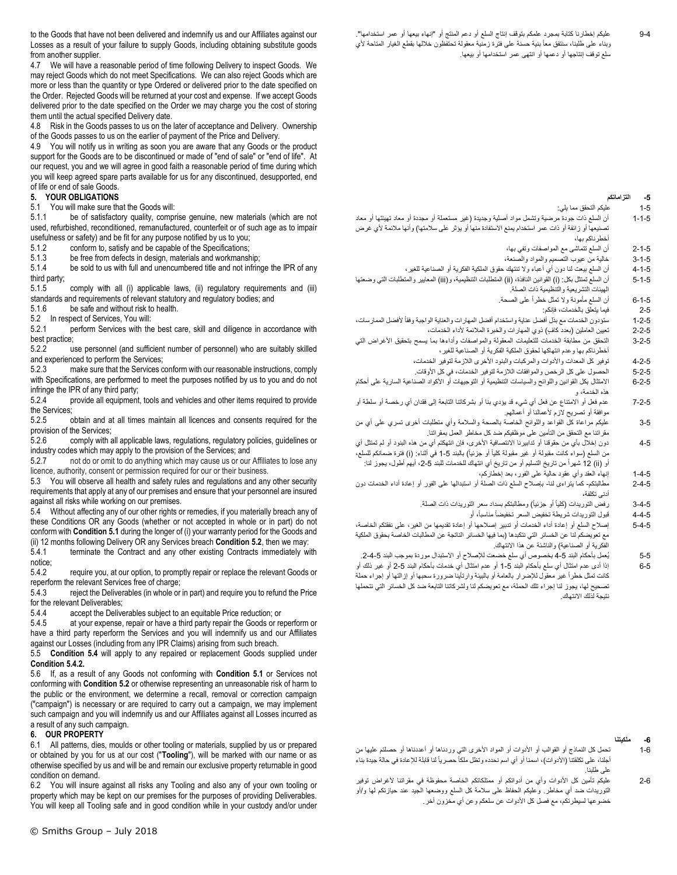to the Goods that have not been delivered and indemnify us and our Affiliates against our Losses as a result of your failure to supply Goods, including obtaining substitute goods from another supplier.

4.7 We will have a reasonable period of time following Delivery to inspect Goods. We may reject Goods which do not meet Specifications. We can also reject Goods which are more or less than the quantity or type Ordered or delivered prior to the date specified on the Order. Rejected Goods will be returned at your cost and expense. If we accept Goods delivered prior to the date specified on the Order we may charge you the cost of storing them until the actual specified Delivery date.

4.8 Risk in the Goods passes to us on the later of acceptance and Delivery. Ownership of the Goods passes to us on the earlier of payment of the Price and Delivery.

4.9 You will notify us in writing as soon you are aware that any Goods or the product support for the Goods are to be discontinued or made of "end of sale" or "end of life". At our request, you and we will agree in good faith a reasonable period of time during which you will keep agreed spare parts available for us for any discontinued, desupported, end of life or end of sale Goods.

#### **5. YOUR OBLIGATIONS**

<span id="page-2-0"></span>5.1 You will make sure that the Goods will:

5.1.1 be of satisfactory quality, comprise genuine, new materials (which are not used, refurbished, reconditioned, remanufactured, counterfeit or of such age as to impair usefulness or safety) and be fit for any purpose notified by us to you;

5.1.2 conform to, satisfy and be capable of the Specifications;

5.1.3 be free from defects in design, materials and workmanship;<br>5.1.4 be sold to us with full and unencumbered title and not infring

be sold to us with full and unencumbered title and not infringe the IPR of any third party;

5.1.5 comply with all (i) applicable laws, (ii) regulatory requirements and (iii) standards and requirements of relevant statutory and regulatory bodies; and 5.1.6 be safe and without risk to health. be safe and without risk to health.

<span id="page-2-1"></span>5.2 In respect of Services, You will:

5.2.1 perform Services with the best care, skill and diligence in accordance with best practice;

5.2.2 use personnel (and sufficient number of personnel) who are suitably skilled and experienced to perform the Services;

5.2.3 make sure that the Services conform with our reasonable instructions, comply with Specifications, are performed to meet the purposes notified by us to you and do not infringe the IPR of any third party;<br>5.2.4 provide all equipment

provide all equipment, tools and vehicles and other items required to provide the Services;

5.2.5 obtain and at all times maintain all licences and consents required for the provision of the Services;<br>5.2.6 comply with a

5.2.6 comply with all applicable laws, regulations, regulatory policies, guidelines or industry codes which may apply to the provision of the Services; and

5.2.7 not do or omit to do anything which may cause us or our Affiliates to lose any licence, authority, consent or permission required for our or their business.

5.3 You will observe all health and safety rules and regulations and any other security requirements that apply at any of our premises and ensure that your personnel are insured against all risks while working on our premises.

<span id="page-2-2"></span>5.4 Without affecting any of our other rights or remedies, if you materially breach any of these Conditions OR any Goods (whether or not accepted in whole or in part) do not conform with **Conditio[n 5.1](#page-2-0)** during the longer of (i) your warranty period for the Goods and (ii) 12 months following Delivery OR any Services breach **Conditio[n 5.2](#page-2-1)**, then we may:

terminate the Contract and any other existing Contracts immediately with notice;<br>5.4.2

<span id="page-2-3"></span>require you, at our option, to promptly repair or replace the relevant Goods or reperform the relevant Services free of charge;

5.4.3 reject the Deliverables (in whole or in part) and require you to refund the Price for the relevant Deliverables;<br>5.4.4 accept the Delive

accept the Deliverables subject to an equitable Price reduction; or

5.4.5 at your expense, repair or have a third party repair the Goods or reperform or have a third party reperform the Services and you will indemnify us and our Affiliates against our Losses (including from any IPR Claims) arising from such breach.

5.5 **Condition [5.4](#page-2-2)** will apply to any repaired or replacement Goods supplied under **Conditio[n 5.4.2.](#page-2-3)**

5.6 If, as a result of any Goods not conforming with **Condition [5.1](#page-2-0)** or Services not conforming with **Conditio[n 5.2](#page-2-1)** or otherwise representing an unreasonable risk of harm to the public or the environment, we determine a recall, removal or correction campaign ("campaign") is necessary or are required to carry out a campaign, we may implement such campaign and you will indemnify us and our Affiliates against all Losses incurred as a result of any such campaign.

#### **6. OUR PROPERTY**

6.1 All patterns, dies, moulds or other tooling or materials, supplied by us or prepared or obtained by you for us at our cost ("**Tooling**"), will be marked with our name or as otherwise specified by us and will be and remain our exclusive property returnable in good condition on demand.

6.2 You will insure against all risks any Tooling and also any of your own tooling or property which may be kept on our premises for the purposes of providing Deliverables. You will keep all Tooling safe and in good condition while in your custody and/or under

#### **-5 التزاماتكم**

- 1-5 عليكم التحقق مما يلي:
- 1-1-5 أن السلع ذات جودة مرضية وتشمل مواد أصلية وجديدة )غير مستعملة أو مجددة أو معاد تهيئتها أو معاد تصنيعها أو زائفة أو ذات عمر استخدام يمنع الاستفادة منها أو يؤثر على سلامتها) وأنها ملائمة لأي غرض أخطرناكم بها،
	- 2-1-5 أن السلع تتماشى مع المواصفات وتفي بها،
	- 3-1-5 خالية من عيوب التصميم والمواد والصنعة،
- 4-1-5 أن السلع بيعت لنا دون أي أعباء وال تنتهك حقوق الملكية الفكرية أو الصناعية للغير، 5-1-5 أن السلع تمتثل بكل: (i) القوانين النافذة، (ii) المتطلبات التنظيمية، و(iii) المعايير والمتطلبات التي وضعتها الهيئات التشريعية والتنظيمية ذات الصلة.
	- 6-1-5 أن السلع مأمونة وال تمثل خطراً على الصحة.
		- 2-5 فيما يتعلق بالخدمات، فإنكم:
- 1-2-5 ستؤدون الخدمات مع بذل أفضل عناية واستخدام أفضل المهارات والعناية الواجبة وفقاً ألفضل الممارسات،
	- 2-2-5 تعيين العاملين (بعدد كاف) ذوي المهارات والخبرة الملائمة لأداء الخدمات،
- 3-2-5 التحقق من مطابقة الخدمات للتعليمات المعقولة والمواصفات وأداءها بما يسمح بتحقيق الأغراض التي أخطرناكم بها وعدم انتهاكها لحقوق الملكية الفكرية أو الصناعية للغير،
	- 4-2-5 توفير كل المعدات واألدوات والمركبات والبنود األخرى الالزمة لتوفير الخدمات،
	- 5-2-5 الحصول على كل الرخص والموافقات الالزمة لتوفير الخدمات، في كل األوقات.
- 6-2-5 االمتثال بكل القوانين واللوائح والسياسات التنظيمية أو التوجيهات أو األكواد الصناعية السارية على أحكام هذه الخدمة، و
- 7-2-5 عدم فعل أو االمتناع عن فعل أي شيء قد يؤدي بنا أو بشركاتنا التابعة إلى فقدان أي رخصة أو سلطة أو موافقة أو تصريح الزم ألعمالنا أو أعمالهم.
- 3-5 عليكم مراعاة كل القواعد واللوائح الخاصة بالصحة والسالمة وأي متطلبات أخرى تسري على أي من مقراتنا مع التحقق من التأمين على موظفيكم ضد كل مخاطر العمل بمقراتنا.
- 4-5 دون إخالل بأي من حقوقنا أو تدابيرنا االنتصافية األخرى، فإن انتهكتم أي من هذه البنود أو لم تمتثل أي من السلع (سواء كانت مقبولـة أو غير مقبولـة كلياً أو جزئياً) بـالبند 5-1 فـى أثنـاء: (i) فترة ضمـانكم للسلع، أو (ii) 12 شهراً من تاريخ التسليم أو من تاريخ أي انتهاك للخدمات للبند 5-2، أيهم أطول، يجوز لنا:
	- 1-4-5 إنهاء العقد وأي عقود حالية على الفور، بعد إخطاركم،
- 2-4-5 مطالبتكم- كما يتراءى لنا- بإصالح السلع ذات الصلة أو استبدالها على الفور أو إعادة أداء الخدمات دون أدنى تكلفة،
	- 3-4-5 رفض التوريدات (كلياً أو جزئياً) ومطالبتكم بسداد سعر التوريدات ذات الصلة.
		- 4-4-5 قبول التوريدات شريطة تخفيض السعر تخفيضاً مناسبا،ً أو
- 5-4-5 إصالح السلع أو إعادة أداء الخدمات أو تدبير إصالحها أو إعادة تقديمها من الغير، على نفقتكم الخاصة، مع تعويضكم لنا عن الخسائر التي نتكبدها )بما فيها الخسائر الناتجة عن المطالبات الخاصة بحقوق الملكية الفكرية أو الصناعية) والناشئة عن هذا الانتهاك.
	- 5-5 يُعمل بأحكام البند 5-4 بخصوص أي سلع خضعت للإصلاح أو الاستبدال موردة بموجب البند 5-4-2.
- 6-5 إذا أدى عدم امتثال أي سلع بأحكام البند 1-5 أو عدم امتثال أي خدمات بأحكام البند 2-5 أو غير ذلك أو كانت تمثل خطراً غير معقول لإلضرار بالعامة أو بالبيئة وارتأينا ضرورة سحبها أو إزالتها أو إجراء حملة تصحيح لها، يجوز لنا إجراء تلك الحملة، مع تعويضكم لنا ولشركاتنا التابعة ضد كل الخسائر التي نتحملها نتيجة لذلك االنتهاك.

## **-6 ملكيتنا**

- 1-6 تحمل كل النماذج أو القوالب أو األدوات أو المواد األخرى التي وردناها أو أعددناها أو حصلتم عليها من أجلنا، على تكلفتنا (الأدوات)، اسمنا أو أي اسم نحدده وتظل ملكاً حصر ياً لنا قابلة للإعادة في حالة جيدة بناء على طلبنا.
- 2-6 عليكم تأمين كل األدوات وأي من أدواتكم أو ممتلكاتكم الخاصة محفوظة في مقراتنا ألغراض توفير التوريدات ضد أي مخاطر. وعليكم الحفاظ على سالمة كل السلع ووضعها الجيد عند حيازتكم لها و/أو خضوعها لسيطرتكم، مع فصل كل الأدوات عن سلعكم وعن أي مخزون أخر ِ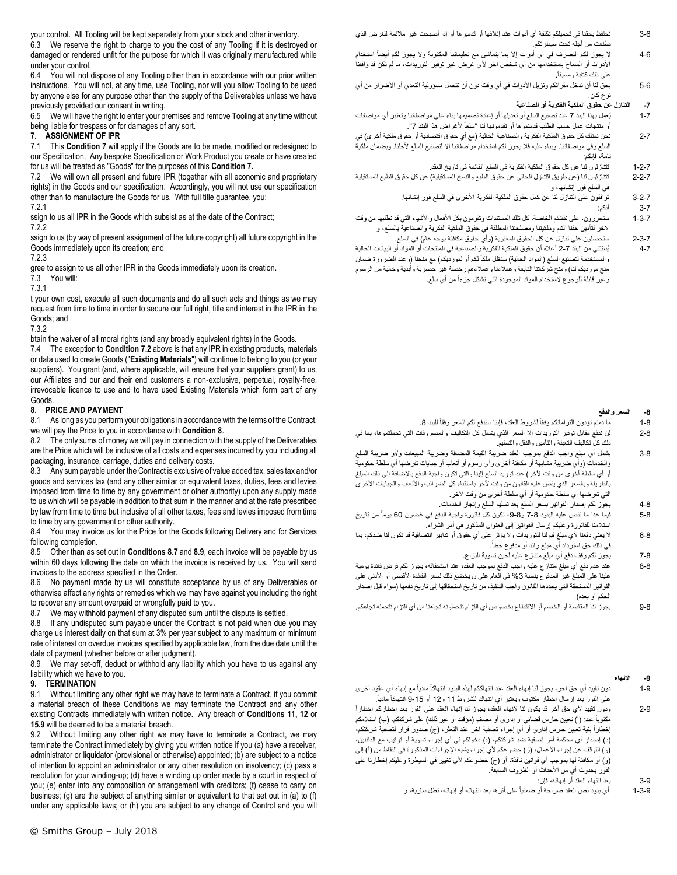your control. All Tooling will be kept separately from your stock and other inventory.

6.3 We reserve the right to charge to you the cost of any Tooling if it is destroyed or damaged or rendered unfit for the purpose for which it was originally manufactured while under your control.

6.4 You will not dispose of any Tooling other than in accordance with our prior written instructions. You will not, at any time, use Tooling, nor will you allow Tooling to be used by anyone else for any purpose other than the supply of the Deliverables unless we have previously provided our consent in writing.

6.5 We will have the right to enter your premises and remove Tooling at any time without being liable for trespass or for damages of any sort.

# <span id="page-3-0"></span>**7. ASSIGNMENT OF IPR**<br>**7.1** This Condition 7 will a

This **Conditio[n 7](#page-3-0)** will apply if the Goods are to be made, modified or redesigned to our Specification. Any bespoke Specification or Work Product you create or have created for us will be treated as "Goods" for the purposes of this **Condition [7.](#page-3-0)**

<span id="page-3-1"></span>7.2 We will own all present and future IPR (together with all economic and proprietary rights) in the Goods and our specification. Accordingly, you will not use our specification other than to manufacture the Goods for us. With full title guarantee, you: 7.2.1 a

ssign to us all IPR in the Goods which subsist as at the date of the Contract;<br>7.2.2

ssign to us (by way of present assignment of the future copyright) all future copyright in the Goods immediately upon its creation; and

gree to assign to us all other IPR in the Goods immediately upon its creation.

7.3 You will:

t your own cost, execute all such documents and do all such acts and things as we may request from time to time in order to secure our full right, title and interest in the IPR in the Goods; and

7.3.2 o

btain the waiver of all moral rights (and any broadly equivalent rights) in the Goods.

7.4 The exception to **Condition [7.2](#page-3-1)** above is that any IPR in existing products, materials or data used to create Goods ("**Existing Materials**") will continue to belong to you (or your suppliers). You grant (and, where applicable, will ensure that your suppliers grant) to us, our Affiliates and our and their end customers a non-exclusive, perpetual, royalty-free, irrevocable licence to use and to have used Existing Materials which form part of any Goods.

## <span id="page-3-2"></span>**8. PRICE AND PAYMENT**

8.1 As long as you perform your obligations in accordance with the terms of the Contract, we will pay the Price to you in accordance with **Conditio[n 8](#page-3-2)**.

8.2 The only sums of money we will pay in connection with the supply of the Deliverables are the Price which will be inclusive of all costs and expenses incurred by you including all packaging, insurance, carriage, duties and delivery costs.

8.3 Any sum payable under the Contract is exclusive of value added tax, sales tax and/or goods and services tax (and any other similar or equivalent taxes, duties, fees and levies imposed from time to time by any government or other authority) upon any supply made to us which will be payable in addition to that sum in the manner and at the rate prescribed by law from time to time but inclusive of all other taxes, fees and levies imposed from time to time by any government or other authority.

8.4 You may invoice us for the Price for the Goods following Delivery and for Services following completion.

8.5 Other than as set out in **Condition[s 8.7](#page-3-3)** and **[8.9](#page-3-4)**, each invoice will be payable by us within 60 days following the date on which the invoice is received by us. You will send invoices to the address specified in the Order.

8.6 No payment made by us will constitute acceptance by us of any Deliverables or otherwise affect any rights or remedies which we may have against you including the right to recover any amount overpaid or wrongfully paid to you.

<span id="page-3-3"></span>8.7 We may withhold payment of any disputed sum until the dispute is settled.

8.8 If any undisputed sum payable under the Contract is not paid when due you may charge us interest daily on that sum at 3% per year subject to any maximum or minimum rate of interest on overdue invoices specified by applicable law, from the due date until the date of payment (whether before or after judgment).

<span id="page-3-4"></span>8.9 We may set-off, deduct or withhold any liability which you have to us against any liability which we have to you.

## **9. TERMINATION**

9.1 Without limiting any other right we may have to terminate a Contract, if you commit a material breach of these Conditions we may terminate the Contract and any other existing Contracts immediately with written notice. Any breach of **Conditions 11, 12** or **[15.9](#page-5-0)** will be deemed to be a material breach.

9.2 Without limiting any other right we may have to terminate a Contract, we may terminate the Contract immediately by giving you written notice if you (a) have a receiver, administrator or liquidator (provisional or otherwise) appointed; (b) are subject to a notice of intention to appoint an administrator or any other resolution on insolvency; (c) pass a resolution for your winding-up; (d) have a winding up order made by a court in respect of you; (e) enter into any composition or arrangement with creditors; (f) cease to carry on business; (g) are the subject of anything similar or equivalent to that set out in (a) to (f) under any applicable laws; or (h) you are subject to any change of Control and you will

- 3-6 نحتفظ بحقنا في تحميلكم تكلفة أي أدوات عند إتالفها أو تدميرها أو إذا أصبحت غير مالئمة للغرض الذي صُنعت من أجله تحت سيطرتكم.
- 4-6 لا يجوز لكم التصرف في أي أدوات إلا بما يتماشى مع تعليماتنا المكتوبة ولا يجوز لكم أيضاً استخدام األدوات أو السماح باستخدامها من أي شخص آخر ألي غرض غير توفير التوريدات، ما لم نكن قد وافقنا . على ذلك كتابة ومسبقاً
- 5-6 يحق لنا أن ندخل مقراتكم ونزيل الأدوات في أي وقت دون أن نتحمل مسؤولية التعدي أو الأضرار من أي نوع كان.

## **-7 التنازل عن حقوق الملكية الفكرية أو الصناعية**

- 1-7 يُعمل بهذا البند 7 عند تصنيع السلع أو تعديلها أو إعادة تصميمها بناء على مواصفاتنا وتعتبر أي مواصفات أو منتجات عمل حسب الطلب قدمتموها أو تقدمونها لنا "سلعاً لأغراض هذا البند 7".
- 2-7 نحن نمتلك كل حقوق الملكية الفكرية والصناعية الحالية (مع أي حقوق اقتصادية أو حقوق ملكية أخرى) في السلع وفي مواصفاتنا. وبناء عليه فال يجوز لكم استخدام مواصفاتنا إال لتصنيع السلع ألجلنا. وبضمان ملكية تامة، فإنكم:
	- 1-2-7 تتنازلون لنا عن كل حقوق الملكية الفكرية في السلع القائمة في تاريخ العقد.
- 2-2-7 تتنازلون لنا )عن طريق التنازل الحالي عن حقوق الطبع والنسخ المستقبلية( عن كل حقوق الطبع المستقبلية في السلع فور إنشائها، و
	- 3-2-7 توافقون على التنازل لنا عن كمل حقوق الملكية الفكرية األخرى في السلع فور إنشائها.
		- 3-7 أنكم:
- 7.2.2 a آلخر لتأمين حقنا التام وملكيتنا ومصلحتنا المطلقة في حقوق الملكية الفكرية والصناعية بالسلع، و 1-3-7 ستحررون، على نفقتكم الخاصة، كل تلك المستندات وتقومون بكل األفعال واألشياء التي قد نطلبها من وقت
	- 2-3-7 ستحصلون على تنازل عن كل الحقوق المعنوية (وأي حقوق مكافئة بوجه عام) في السلع.
- والمستخدمة لتصنيع السلع (المواد الحالية) ستظل ملكاً لكم أو لمورديكم) مع منحنا (وعند الضرورة ضمان ً معندا ) مع المواد الحالية ) مع المورديكم مع منحنا (وعند الضرورة ضمان ً معندا ) وعند الضرورة معندا أوعند الشرورة من أو عند ا 7.3.1 and the contract of the contract of the contract of the contract of the contract of the contract of the contract of the contract of the contract of the contract of the contract of the contract of the contract of the 4-7 يُستثنى من البند 2-7 أعاله أن حقوق الملكية الفكرية والصناعية في المنتجات أو المواد أو البيانات الحالية منح مورديكم لنا) ومنح شركاتنا التابعة وعملاءنا وعملاءهم رخصة غير حصرية وأبدية وخالية من الرسوم وغير قابلة للرجوع الستخدام المواد الموجودة التي تشكل جزءاً من أي سلع.

#### **-8 السعر والدفع**

- 8-1 ما دمتم تؤدون التز اماتكم وفقاً لشروط العقد، فإننا سندفع لكم السعر وفقاً للبند 8.
- 2-8 لن ندفع مقابل توفير التوريدات إال السعر الذي يشمل كل التكاليف والمصروفات التي تحملتموها، بما في ذلك كل تكاليف التعبئة والتأمين والنقل والتسليم.
- 3-8 يشمل أي مبلغ واجب الدفع بموجب العقد ضريبة القيمة المضافة وضريبة المبيعات و/أو ضريبة السلع والخدمات )وأي ضريبة مشابهة أو مكافئة أخرى وأي رسوم أو أتعاب أو جبايات تفرضها أي سلطة حكومية أو أي سلطة أخرى من وقت آلخر( عند توريد السلع إلينا والتي تكون واجبة الدفع باإلضافة إلى ذلك المبلغ بالطريقة وبالسعر الذي ينص عليه القانون من وقت لأخر باستثناء كل الضرائب والأتعاب والجبايات الأخرى التي تفرضها أي سلطة حكومية أو أي سلطة أخرى من وقت آلخر.
- 4-8 يجوز لكم إصدار الفواتير بسعر السلع بعد تسليم السلع وإنجاز الخدمات. 5-8 فيما عدا ما تنص عليه البنود 7-8 و،9-8 تكون كل فاتورة واجبة الدفع في غضون 60 يوماً من تاريخ
- استالمنا للفاتورة وعليكم إرسال الفواتير إلى العنوان المذكور في أمر الشراء. 6-8 ال يعني دفعنا ألي مبلغ قبولنا للتوريدات وال يؤثر على أي حقوق أو تدابير انتصافية قد تكون لنا ضدكم، بما
- . في ذلك حق استرداد أي مبلغ زائد أو مدفوع خطأ
	- 7-8 يجوز لكم وقف دفع أي مبلغ متنازع عليه لحين تسوية النزاع.
- 8-8 عند عدم دفع أي مبلغ متنازع عليه واجب الدفع بموجب العقد، عند استحقاقه، يجوز لكم فرض فائدة يومية علينا على المبلغ غير المدفوع بنسبة 3% في العام على ن يخضع ذلك لسعر الفائدة الأقصىي أو الأدنى على الفواتير المستحقة التي يحددها القانون واجب التنفيذ، من تاريخ استحقاقها إلى تاريخ دفعها )سواء قبل إصدار الحكم أو بعده).
- 9-8 يجوز لنا المقاصة أو الخصم أو االقتطاع بخصوص أي التزام تتحملونه تجاهنا من أي التزام نتحمله تجاهكم.

## **-9 اإلنهاء**

- 1-9 دون تقييد أي حق آخر، يجوز لنا إنهاء العقد عند انتهاككم لهذه البنود انتهاكاً مادياً مع إنهاء أي عقود أخرى . على الفور بعد إرسال إخطار مكتوب ويعتبر أي انتهاك للشروط 11 و12 أو 9-15 انتهاكاً مادياً
- 2-9 ودون تقييد ألي حق آخر قد يكون لنا إلنهاء العقد، يجوز لنا إنهاء العقد على الفور بعد إخطاركم إخطاراً مكتوباً عند: (أ) تعيين حارس قضائي أو إداري أو مصفٍ (مؤقت أو غير ذلك) على شركتكم، (ب) استلامكم إخطاراً بنية تعيين حارس إداري أو أي إجراء تصفية آخر عند التعثر ، (ج) صدور قرار لتصفية شركتكم، (د) إصدار أي محكمة أمر تصفية ضد شركتكم، (ه) دخولكم في أي إجراء تسوية أو ترتيب مع الدائنين، .<br>(و) التوقف عن إجراء الأعمال، (ز) خضوعكم لأي إجراء يشبه الإجراءات المذكورة في النقاط من (أ) إلى (و) أو مكافئة لها بموجب أي قوانين نافذة، أو (ح) خضوعكم لأي تغيير في السيطرة وعليكم إخطارنا على الفور بحدوث أي من الأحداث أو الظروف السابقة.
	- 3-9 بعد انتهاء العقد أو إنهائه، فإن:
	- 1-3-9 أي بنود نص العقد صراحة أو ضمنياً على أثرها بعد انتهائه أو إنهائه، تظل سارية، و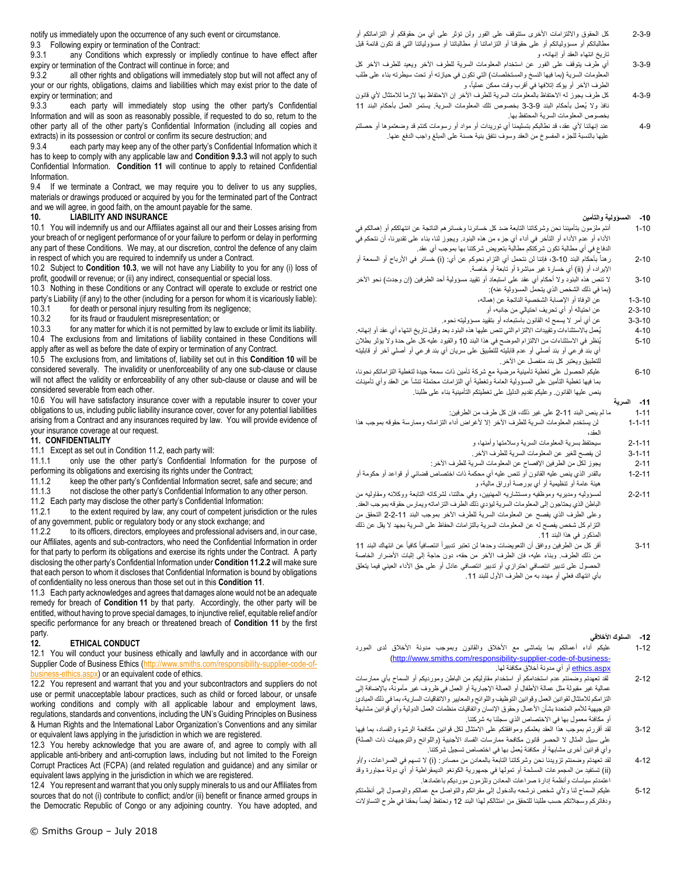notify us immediately upon the occurrence of any such event or circumstance.

9.3 Following expiry or termination of the Contract:

9.3.1 any Conditions which expressly or impliedly continue to have effect after expiry or termination of the Contract will continue in force; and

9.3.2 all other rights and obligations will immediately stop but will not affect any of your or our rights, obligations, claims and liabilities which may exist prior to the date of expiry or termination; and<br>9.3.3 each party

<span id="page-4-1"></span>each party will immediately stop using the other party's Confidential Information and will as soon as reasonably possible, if requested to do so, return to the other party all of the other party's Confidential Information (including all copies and extracts) in its possession or control or confirm its secure destruction; and<br>9.3.4 each party may keen any of the other party's Confidential Infor

9.3.4 each party may keep any of the other party's Confidential Information which it has to keep to comply with any applicable law and **Condition [9.3.3](#page-4-1)** will not apply to such Confidential Information. **Condition [11](#page-4-0)** will continue to apply to retained Confidential Information.

9.4 If we terminate a Contract, we may require you to deliver to us any supplies, materials or drawings produced or acquired by you for the terminated part of the Contract and we will agree, in good faith, on the amount payable for the same.

#### <span id="page-4-3"></span>**10. LIABILITY AND INSURANCE**

10.1 You will indemnify us and our Affiliates against all our and their Losses arising from your breach of or negligent performance of or your failure to perform or delay in performing any part of these Conditions. We may, at our discretion, control the defence of any claim in respect of which you are required to indemnify us under a Contract.

10.2 Subject to **Conditio[n 10.3](#page-4-2)**, we will not have any Liability to you for any (i) loss of profit, goodwill or revenue; or (ii) any indirect, consequential or special loss.

<span id="page-4-2"></span>10.3 Nothing in these Conditions or any Contract will operate to exclude or restrict one party's Liability (if any) to the other (including for a person for whom it is vicariously liable):<br>10.3.1 for death or personal injury resulting from its negligence;

for death or personal injury resulting from its negligence;

10.3.2 for its fraud or fraudulent misrepresentation; or

10.3.3 for any matter for which it is not permitted by law to exclude or limit its liability. 10.4 The exclusions from and limitations of liability contained in these Conditions will apply after as well as before the date of expiry or termination of any Contract.

10.5 The exclusions from, and limitations of, liability set out in this **Condition [10](#page-4-3)** will be considered severally. The invalidity or unenforceability of any one sub-clause or clause will not affect the validity or enforceability of any other sub-clause or clause and will be considered severable from each other.

10.6 You will have satisfactory insurance cover with a reputable insurer to cover your obligations to us, including public liability insurance cover, cover for any potential liabilities arising from a Contract and any insurances required by law. You will provide evidence of your insurance coverage at our request.

#### <span id="page-4-0"></span>**11. CONFIDENTIALITY**

11.1 Except as set out in Conditio[n 11.2,](#page-4-4) each party will:

11.1.1 only use the other party's Confidential Information for the purpose of

performing its obligations and exercising its rights under the Contract;<br>11.1.2 keep the other party's Confidential Information secret, saft keep the other party's Confidential Information secret, safe and secure; and

11.1.3 not disclose the other party's Confidential Information to any other person.

<span id="page-4-4"></span>11.2 Each party may disclose the other party's Confidential Information:

11.2.1 to the extent required by law, any court of competent jurisdiction or the rules of any government, public or regulatory body or any stock exchange; and

<span id="page-4-5"></span>11.2.2 to its officers, directors, employees and professional advisers and, in our case, our Affiliates, agents and sub-contractors, who need the Confidential Information in order for that party to perform its obligations and exercise its rights under the Contract. A party disclosing the other party's Confidential Information under **Conditio[n 11.2.2](#page-4-5)** will make sure that each person to whom it discloses that Confidential Information is bound by obligations of confidentiality no less onerous than those set out in this **Conditio[n 11](#page-4-0)**.

11.3 Each party acknowledges and agrees that damages alone would not be an adequate remedy for breach of **Condition [11](#page-4-0)** by that party. Accordingly, the other party will be entitled, without having to prove special damages, to injunctive relief, equitable relief and/or specific performance for any breach or threatened breach of **Condition [11](#page-4-0)** by the first party.

#### <span id="page-4-6"></span>**12. ETHICAL CONDUCT**

12.1 You will conduct your business ethically and lawfully and in accordance with our Supplier Code of Business Ethics [\(http://www.smiths.com/responsibility-supplier-code-of-](http://www.smiths.com/responsibility-supplier-code-of-business-ethics.aspx) $\sin\theta$ ess-ethics.aspx) or an equivalent code of ethics.

12.2 You represent and warrant that you and your subcontractors and suppliers do not use or permit unacceptable labour practices, such as child or forced labour, or unsafe working conditions and comply with all applicable labour and employment laws, regulations, standards and conventions, including the UN's Guiding Principles on Business & Human Rights and the International Labor Organization's Conventions and any similar or equivalent laws applying in the jurisdiction in which we are registered.

12.3 You hereby acknowledge that you are aware of, and agree to comply with all applicable anti-bribery and anti-corruption laws, including but not limited to the Foreign Corrupt Practices Act (FCPA) (and related regulation and guidance) and any similar or equivalent laws applying in the jurisdiction in which we are registered.

12.4 You represent and warrant that you only supply minerals to us and our Affiliates from sources that do not (i) contribute to conflict; and/or (ii) benefit or finance armed groups in the Democratic Republic of Congo or any adjoining country. You have adopted, and

- 2-3-9 كل الحقوق وااللتزامات األخرى ستتوقف على الفور ولن تؤثر على أي من حقوقكم أو التزاماتكم أو مطالباتكم أو مسؤولياتكم أو على حقوقنا أو التزاماتنا أو مطالباتنا أو مسؤولياتنا التي قد تكون قائمة قبل تاريخ انتهاء العقد أو إنهائه، و
- 3-3-9 أي طرف يتوقف على الفور عن استخدام المعلومات السرية للطرف اآلخر ويعيد للطرف اآلخر كل المعلومات السرية (بما فيها النسخ والمستخلصات) التي تكون في حيازته أو تحت سيطرته بناء على طلب الطرف اآلخر أو يؤكد إتالفها في أقرب وقت ممكن عمليا،ً و
- 4-3-9 كل طرف يجوز له االحتفاظ بالمعلومات السرية للطرف اآلخر إن االحتفاظ بها الزما لالمتثال ألي قانون نافذ وال يُعمل بأحكام البند 3-3-9 بخصوص تلك المعلومات السرية. يستمر العمل بأحكام البند 11 بخصوص المعلومات السرية المحتفظ بها.
- 4-9 عند إنهائنا ألي عقد، قد نطالبكم بتسليمنا أي توريدات أو مواد أو رسومات كنتم قد وضعتموها أو حصلتم عليها بالنسبة للجزء المفسوخ من العقد وسوف نتفق بنية حسنة على المبلغ واجب الدفع عنها.

#### **-10 المسؤولية والتأمين**

- 1-10 أنتم ملزمون بتأميننا نحن وشركاتنا التابعة ضد كل خسائرنا وخسائرهم الناتجة عن انتهاككم أو إهمالكم في األداء أو عدم األداء أو التأخر في أداء أي جزء من هذه البنود. ويجوز لنا، بناء على تقديرنا، أن نتحكم في الدفاع في أي مطالبة تكون شركتكم مطالبة بتعويض شركتنا بها بموجب أي عقد.
- ر هناً بأحكام البند 10-3، فإننا لن نتحمل أي التزام نحوكم عن أي: (i) خسائر في الأرباح أو السمعة أو  $2 - 10$ الإيراد، أو (ii) أي خسارة غير مباشرة أو تابعة أو خاصة.
- 3-10 لا تنص هذه البنود ولا أحكام أي عقد على استبعاد أو تقييد مسؤولية أحد الطرفين (إن وجدت) نحو الآخر )بما في ذلك الشخص الذي يتحمل المسؤولية عنه(:
	- 1-3-10 عن الوفاة أو اإلصابة الشخصية الناتجة عن إهماله،
		- 2-3-10 عن احتياله أو أي تحريف احتيالي من جانبه، أو
	- 3-3-10 عن أي أمر ال يسمح له القانون باستبعاده أو بتقييد مسؤوليته نحوه.
- 4-10 يُعمل باالستثناءات وتقييدات االلتزام التي تنص عليها هذه البنود بعد وقبل تاريخ انتهاء أي عقد أو إنهائه. 5-10 يُنظر في االستثناءات من االلتزام الموضح في هذا البند 10 والقيود عليه كل على حدة وال يؤثر بطالن أي بند فرعي أو بند أصلي أو عدم قابليته للتطبيق على سريان أي بند فرعي أو أصلي آخر أو قابليته للتطبيق ويعتبر كل بند منفصل عن اآلخر.
- 6-10 عليكم الحصول على تغطية تأمينية مرضية مع شركة تأمين ذات سمعة جيدة لتغطية التزاماتكم نحونا، بما فيها تغطية التأمين على المسؤولية العامة وتغطية أي التزامات محتملة تنشأ عن العقد وأي تأمينات ينص عليها القانون. وعليكم تقديم الدليل على تغطيتكم التأمينية بناء على طلبنا.
	- **-11 السرية**

1-11 ما لم ينص البند 2-11 على غير ذلك، فإن كل طرف من الطرفين:

- 1-1-11 لن يستخدم المعلومات السرية للطرف اآلخر إال ألغراض أداء التزاماته وممارسة حقوقه بموجب هذا العقد،
	- 2-1-11 سيحتفظ بسرية المعلومات السرية وسالمتها وأمنها، و
	- 3-1-11 لن يفصح للغير عن المعلومات السرية للطرف اآلخر. 2-11 يجوز لكل من الطرفين اإلفصاح عن المعلومات السرية للطرف اآلخر:
- 1-2-11 بالقدر الذي ينص عليه القانون أو تنص عليه أي محكمة ذات اختصاص قضائي أو قواعد أو حكومة أو
	- هيئة عامة أو تنظيمية أو أي بورصة أوراق مالية، و
- 2-2-11 لمسؤوليه ومديريه وموظفيه ومستشاريه المهنيين، وفي حالتنا، لشركاته التابعة ووكالئه ومقاوليه من الباطن الذي يحتاجون إلى المعلومات السرية ليؤدي ذلك الطرف التزاماته ويمارس حقوقه بموجب العقد. وعلى الطرف الذي يفصح عن المعلومات السرية للطرف اآلخر بموجب البند 2-2-11 التحقق من التزام كل شخص يفصح له عن المعلومات السرية بالتزامات الحفاظ على السرية بجهد ال يقل عن ذلك المذكور في هذا البند 11.
- 3-11 أقر كل من الطرفين ووافق أن التعويضات وحدها لن تعتبر تدبيراً انتصافياً كافياً عن انتهاك البند 11 من ذلك الطرف. وبناء عليه، فإن الطرف اآلخر من حقه، دون حاجة إلى إثبات األضرار الخاصة الحصول على تدبير انتصافي احترازي أو تدبير انتصافي عادل أو على حق األداء العيني فيما يتعلق بأي انتهاك فعلي أو مهدد به من الطرف األول للبند .11

## **-12 السلوك األخالقي**

- 1-12 عليكم أداء أعمالكم بما يتماشى مع الأخلاق والقانون وبموجب مدونة الأخلاق لدى المورد [\(http://www.smiths.com/responsibility-supplier-code-of-business](http://www.smiths.com/responsibility-supplier-code-of-business-ethics.aspx) [aspx.ethics](http://www.smiths.com/responsibility-supplier-code-of-business-ethics.aspx) أو أي مدونة أخالق مكافئة لها.
- 2-12 لقد تعهدتم وضمنتم عدم استخدامكم أو استخدام مقاوليكم من الباطن ومورديكم أو السماح بأي ممارسات عمالية غير مقبولة مثل عمالة الأطفال أو العمالة الإجبارية أو العمل في ظروف غير مأمونة، بالإضافة إلى التزامكم لالمتثال لقوانين العمل وقوانين التوظيف واللوائح والمعايير واالتفاقيات السارية، بما في ذلك المبادئ التوجيهية للأمم المتحدة بشأن الأعمال وحقوق الإنسان واتفاقيات منظمات العمل الدولية وأي قوانين مشابهة أو مكافئة معمول بها في االختصاص الذي سجلنا به شركتنا.
- 3-12 لقد أقررتم بموجب هذا العقد بعلمكم وموافقتكم على االمتثال لكل قوانين مكافحة الرشوة والفساد، بما فيها على سبيل المثال لا الحصر قانون مكافحة ممارسات الفساد الأجنبية (واللوائح والتوجيهات ذات الصلة) وأي قوانين أخرى مشابهة أو مكافئة يُعمل بها في اختصاص تسجيل شركتنا.
- 4-12 لقد تعهدتم وضمنتم تزويدنا نحن وشركاتنا التابعة بالمعادن من مصادر : (i) لا تسهم في الصراعات، و/أو )ii )تستفيد من المجموعات المسلحة أو تمولها في جمهورية الكونغو الديمقراطية أو أي دولة مجاورة وقد اعتمدتم سياسات وأنظمة إدارة صراعات المعادن وتلزمون مورديكم باعتمادها.
- 5-12 عليكم السماح لنا ولأي شخص نرشحه بالدخول إلى مقراتكم والنواصل مع عمالكم والوصول إلى أنظمتكم ودفاتركم وسجلاتكم حسب طلبنا للتحقق من امتثالكم لهذا البند 12 ونحتفظ أيضاً بحقنا في طرح التساؤلات